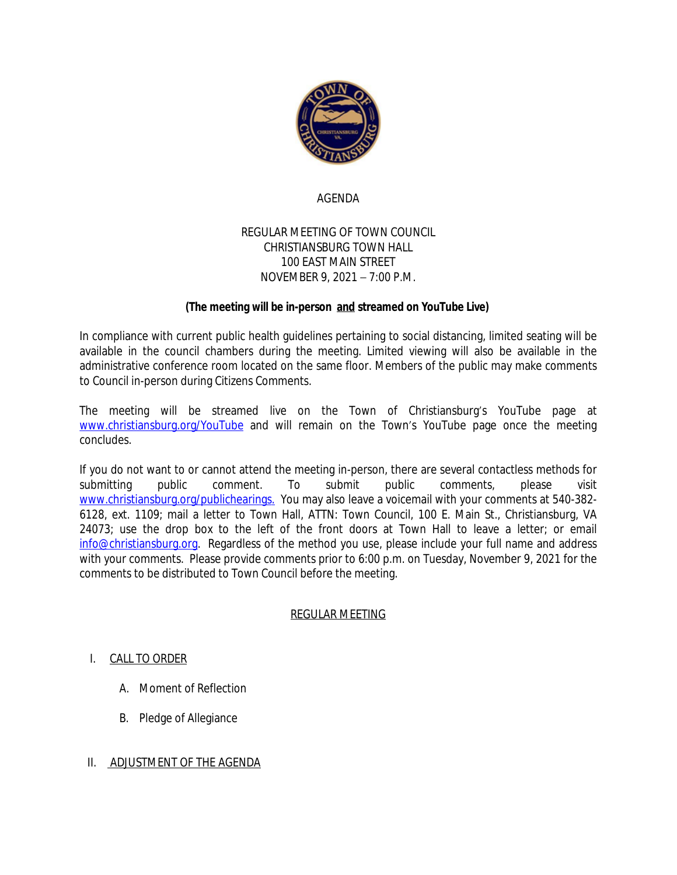

# AGENDA

## REGULAR MEETING OF TOWN COUNCIL CHRISTIANSBURG TOWN HALL 100 EAST MAIN STREET NOVEMBER 9, 2021 – 7:00 P.M.

# **(The meeting will be in-person and streamed on YouTube Live)**

In compliance with current public health guidelines pertaining to social distancing, limited seating will be available in the council chambers during the meeting. Limited viewing will also be available in the administrative conference room located on the same floor. Members of the public may make comments to Council in-person during Citizens Comments.

The meeting will be streamed live on the Town of Christiansburg's YouTube page at [www.christiansburg.org/YouTube](http://www.christiansburg.org/YouTube) and will remain on the Town's YouTube page once the meeting concludes.

If you do not want to or cannot attend the meeting in-person, there are several contactless methods for submitting public comment. To submit public comments, please visit [www.christiansburg.org/publichearings.](http://www.christiansburg.org/publichearings) You may also leave a voicemail with your comments at 540-382- 6128, ext. 1109; mail a letter to Town Hall, ATTN: Town Council, 100 E. Main St., Christiansburg, VA 24073; use the drop box to the left of the front doors at Town Hall to leave a letter; or email [info@christiansburg.org.](mailto:info@christiansburg.org) Regardless of the method you use, please include your full name and address with your comments. Please provide comments prior to 6:00 p.m. on Tuesday, November 9, 2021 for the comments to be distributed to Town Council before the meeting.

## REGULAR MEETING

## I. CALL TO ORDER

- A. Moment of Reflection
- B. Pledge of Allegiance
- II. ADJUSTMENT OF THE AGENDA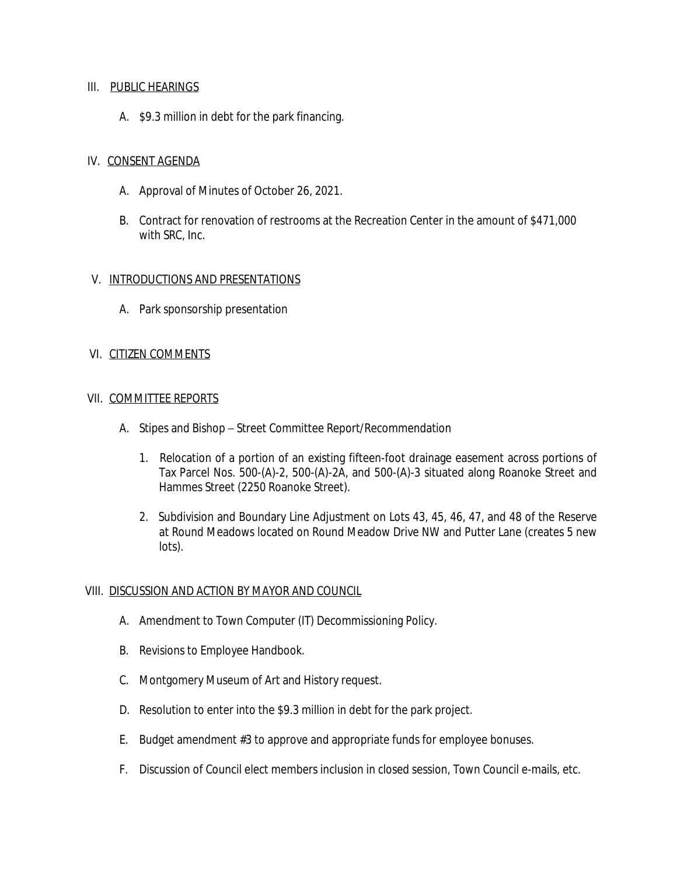#### III. PUBLIC HEARINGS

A. \$9.3 million in debt for the park financing.

#### IV. CONSENT AGENDA

- A. Approval of Minutes of October 26, 2021.
- B. Contract for renovation of restrooms at the Recreation Center in the amount of \$471,000 with SRC, Inc.

## V. INTRODUCTIONS AND PRESENTATIONS

A. Park sponsorship presentation

## VI. CITIZEN COMMENTS

#### VII. COMMITTEE REPORTS

- A. Stipes and Bishop Street Committee Report/Recommendation
	- 1. Relocation of a portion of an existing fifteen-foot drainage easement across portions of Tax Parcel Nos. 500-(A)-2, 500-(A)-2A, and 500-(A)-3 situated along Roanoke Street and Hammes Street (2250 Roanoke Street).
	- 2. Subdivision and Boundary Line Adjustment on Lots 43, 45, 46, 47, and 48 of the Reserve at Round Meadows located on Round Meadow Drive NW and Putter Lane (creates 5 new lots).

## VIII. DISCUSSION AND ACTION BY MAYOR AND COUNCIL

- A. Amendment to Town Computer (IT) Decommissioning Policy.
- B. Revisions to Employee Handbook.
- C. Montgomery Museum of Art and History request.
- D. Resolution to enter into the \$9.3 million in debt for the park project.
- E. Budget amendment #3 to approve and appropriate funds for employee bonuses.
- F. Discussion of Council elect members inclusion in closed session, Town Council e-mails, etc.